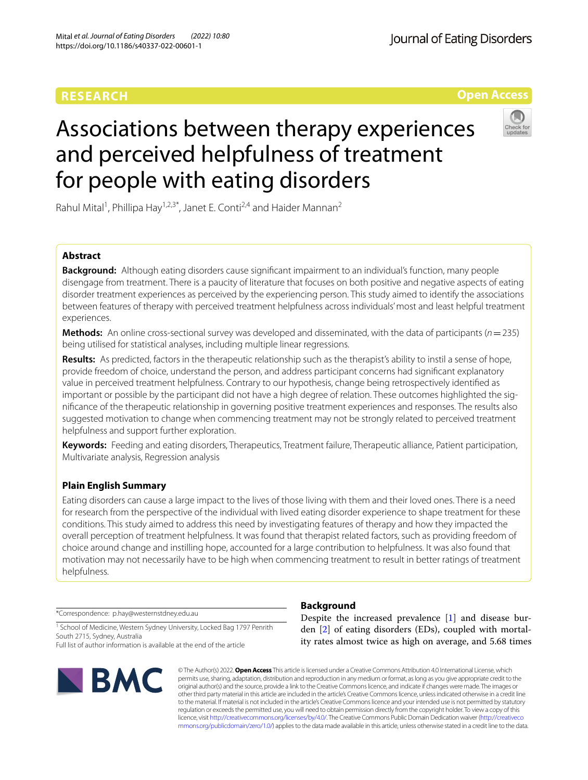# **RESEARCH**

Journal of Eating Disorders



# Associations between therapy experiences and perceived helpfulness of treatment for people with eating disorders



Rahul Mital<sup>1</sup>, Phillipa Hay<sup>1,2,3\*</sup>, Janet E. Conti<sup>2,4</sup> and Haider Mannan<sup>2</sup>

# **Abstract**

**Background:** Although eating disorders cause signifcant impairment to an individual's function, many people disengage from treatment. There is a paucity of literature that focuses on both positive and negative aspects of eating disorder treatment experiences as perceived by the experiencing person. This study aimed to identify the associations between features of therapy with perceived treatment helpfulness across individuals' most and least helpful treatment experiences.

**Methods:** An online cross-sectional survey was developed and disseminated, with the data of participants (*n*=235) being utilised for statistical analyses, including multiple linear regressions.

**Results:** As predicted, factors in the therapeutic relationship such as the therapist's ability to instil a sense of hope, provide freedom of choice, understand the person, and address participant concerns had signifcant explanatory value in perceived treatment helpfulness. Contrary to our hypothesis, change being retrospectively identifed as important or possible by the participant did not have a high degree of relation. These outcomes highlighted the signifcance of the therapeutic relationship in governing positive treatment experiences and responses. The results also suggested motivation to change when commencing treatment may not be strongly related to perceived treatment helpfulness and support further exploration.

**Keywords:** Feeding and eating disorders, Therapeutics, Treatment failure, Therapeutic alliance, Patient participation, Multivariate analysis, Regression analysis

# **Plain English Summary**

Eating disorders can cause a large impact to the lives of those living with them and their loved ones. There is a need for research from the perspective of the individual with lived eating disorder experience to shape treatment for these conditions. This study aimed to address this need by investigating features of therapy and how they impacted the overall perception of treatment helpfulness. It was found that therapist related factors, such as providing freedom of choice around change and instilling hope, accounted for a large contribution to helpfulness. It was also found that motivation may not necessarily have to be high when commencing treatment to result in better ratings of treatment helpfulness.

\*Correspondence: p.hay@westernstdney.edu.au

<sup>1</sup> School of Medicine, Western Sydney University, Locked Bag 1797 Penrith South 2715, Sydney, Australia Full list of author information is available at the end of the article



# **Background**

Despite the increased prevalence [\[1](#page-7-0)] and disease burden [[2\]](#page-7-1) of eating disorders (EDs), coupled with mortality rates almost twice as high on average, and 5.68 times

© The Author(s) 2022. **Open Access** This article is licensed under a Creative Commons Attribution 4.0 International License, which permits use, sharing, adaptation, distribution and reproduction in any medium or format, as long as you give appropriate credit to the original author(s) and the source, provide a link to the Creative Commons licence, and indicate if changes were made. The images or other third party material in this article are included in the article's Creative Commons licence, unless indicated otherwise in a credit line to the material. If material is not included in the article's Creative Commons licence and your intended use is not permitted by statutory regulation or exceeds the permitted use, you will need to obtain permission directly from the copyright holder. To view a copy of this licence, visit [http://creativecommons.org/licenses/by/4.0/.](http://creativecommons.org/licenses/by/4.0/) The Creative Commons Public Domain Dedication waiver ([http://creativeco](http://creativecommons.org/publicdomain/zero/1.0/) [mmons.org/publicdomain/zero/1.0/](http://creativecommons.org/publicdomain/zero/1.0/)) applies to the data made available in this article, unless otherwise stated in a credit line to the data.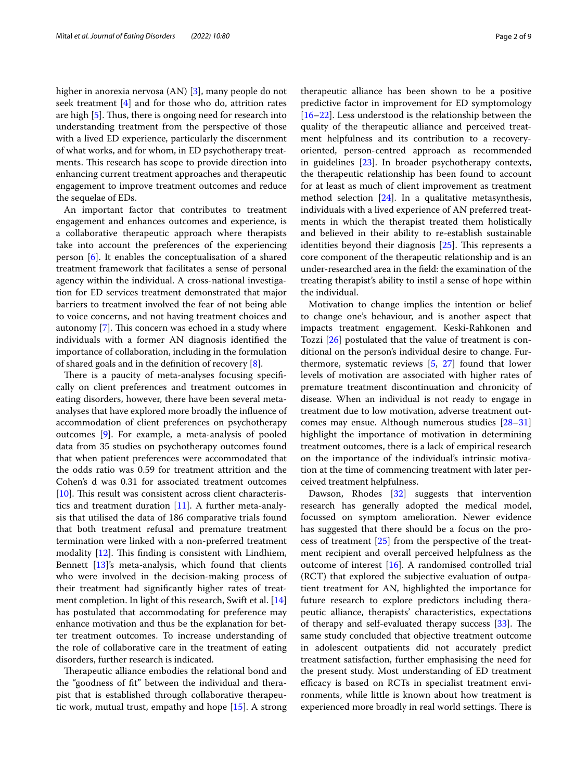higher in anorexia nervosa (AN) [[3](#page-7-2)], many people do not seek treatment [\[4](#page-8-0)] and for those who do, attrition rates are high  $[5]$  $[5]$ . Thus, there is ongoing need for research into understanding treatment from the perspective of those with a lived ED experience, particularly the discernment of what works, and for whom, in ED psychotherapy treatments. This research has scope to provide direction into enhancing current treatment approaches and therapeutic engagement to improve treatment outcomes and reduce the sequelae of EDs.

An important factor that contributes to treatment engagement and enhances outcomes and experience, is a collaborative therapeutic approach where therapists take into account the preferences of the experiencing person [[6\]](#page-8-2). It enables the conceptualisation of a shared treatment framework that facilitates a sense of personal agency within the individual. A cross-national investigation for ED services treatment demonstrated that major barriers to treatment involved the fear of not being able to voice concerns, and not having treatment choices and autonomy  $[7]$  $[7]$ . This concern was echoed in a study where individuals with a former AN diagnosis identifed the importance of collaboration, including in the formulation of shared goals and in the defnition of recovery [\[8](#page-8-4)].

There is a paucity of meta-analyses focusing specifically on client preferences and treatment outcomes in eating disorders, however, there have been several metaanalyses that have explored more broadly the infuence of accommodation of client preferences on psychotherapy outcomes [\[9](#page-8-5)]. For example, a meta-analysis of pooled data from 35 studies on psychotherapy outcomes found that when patient preferences were accommodated that the odds ratio was 0.59 for treatment attrition and the Cohen's d was 0.31 for associated treatment outcomes  $[10]$  $[10]$ . This result was consistent across client characteristics and treatment duration [\[11](#page-8-7)]. A further meta-analysis that utilised the data of 186 comparative trials found that both treatment refusal and premature treatment termination were linked with a non-preferred treatment modality  $[12]$  $[12]$  $[12]$ . This finding is consistent with Lindhiem, Bennett [\[13](#page-8-9)]'s meta-analysis, which found that clients who were involved in the decision-making process of their treatment had signifcantly higher rates of treatment completion. In light of this research, Swift et al. [[14](#page-8-10)] has postulated that accommodating for preference may enhance motivation and thus be the explanation for better treatment outcomes. To increase understanding of the role of collaborative care in the treatment of eating disorders, further research is indicated.

Therapeutic alliance embodies the relational bond and the "goodness of ft" between the individual and therapist that is established through collaborative therapeutic work, mutual trust, empathy and hope [\[15](#page-8-11)]. A strong therapeutic alliance has been shown to be a positive predictive factor in improvement for ED symptomology [[16–](#page-8-12)[22\]](#page-8-13). Less understood is the relationship between the quality of the therapeutic alliance and perceived treatment helpfulness and its contribution to a recoveryoriented, person-centred approach as recommended in guidelines [[23\]](#page-8-14). In broader psychotherapy contexts, the therapeutic relationship has been found to account for at least as much of client improvement as treatment method selection [\[24](#page-8-15)]. In a qualitative metasynthesis, individuals with a lived experience of AN preferred treatments in which the therapist treated them holistically and believed in their ability to re-establish sustainable identities beyond their diagnosis  $[25]$ . This represents a core component of the therapeutic relationship and is an under-researched area in the feld: the examination of the treating therapist's ability to instil a sense of hope within the individual.

Motivation to change implies the intention or belief to change one's behaviour, and is another aspect that impacts treatment engagement. Keski-Rahkonen and Tozzi [\[26](#page-8-17)] postulated that the value of treatment is conditional on the person's individual desire to change. Furthermore, systematic reviews [\[5](#page-8-1), [27](#page-8-18)] found that lower levels of motivation are associated with higher rates of premature treatment discontinuation and chronicity of disease. When an individual is not ready to engage in treatment due to low motivation, adverse treatment outcomes may ensue. Although numerous studies [[28–](#page-8-19)[31](#page-8-20)] highlight the importance of motivation in determining treatment outcomes, there is a lack of empirical research on the importance of the individual's intrinsic motivation at the time of commencing treatment with later perceived treatment helpfulness.

Dawson, Rhodes [[32\]](#page-8-21) suggests that intervention research has generally adopted the medical model, focussed on symptom amelioration. Newer evidence has suggested that there should be a focus on the process of treatment [[25](#page-8-16)] from the perspective of the treatment recipient and overall perceived helpfulness as the outcome of interest [[16\]](#page-8-12). A randomised controlled trial (RCT) that explored the subjective evaluation of outpatient treatment for AN, highlighted the importance for future research to explore predictors including therapeutic alliance, therapists' characteristics, expectations of therapy and self-evaluated therapy success [[33\]](#page-8-22). The same study concluded that objective treatment outcome in adolescent outpatients did not accurately predict treatment satisfaction, further emphasising the need for the present study. Most understanding of ED treatment efficacy is based on RCTs in specialist treatment environments, while little is known about how treatment is experienced more broadly in real world settings. There is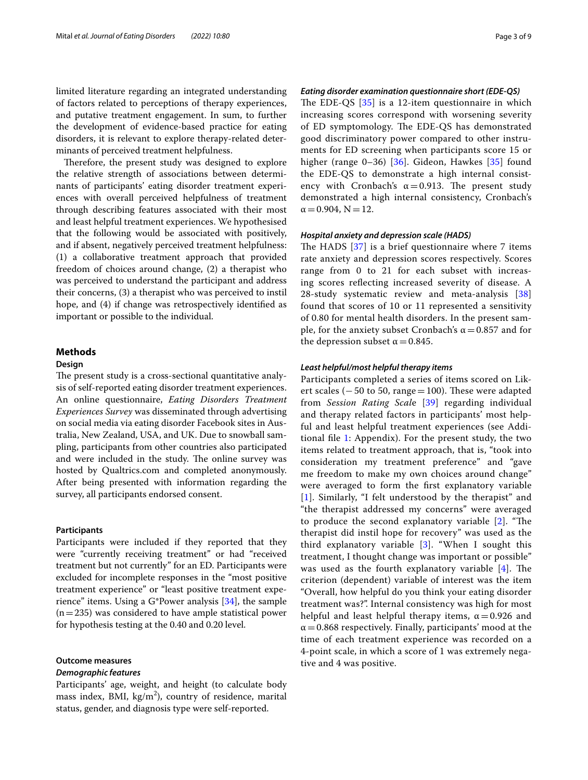limited literature regarding an integrated understanding of factors related to perceptions of therapy experiences, and putative treatment engagement. In sum, to further the development of evidence-based practice for eating disorders, it is relevant to explore therapy-related determinants of perceived treatment helpfulness.

Therefore, the present study was designed to explore the relative strength of associations between determinants of participants' eating disorder treatment experiences with overall perceived helpfulness of treatment through describing features associated with their most and least helpful treatment experiences. We hypothesised that the following would be associated with positively, and if absent, negatively perceived treatment helpfulness: (1) a collaborative treatment approach that provided freedom of choices around change, (2) a therapist who was perceived to understand the participant and address their concerns, (3) a therapist who was perceived to instil hope, and (4) if change was retrospectively identifed as important or possible to the individual.

# **Methods**

# **Design**

The present study is a cross-sectional quantitative analysis of self-reported eating disorder treatment experiences. An online questionnaire, *Eating Disorders Treatment Experiences Survey* was disseminated through advertising on social media via eating disorder Facebook sites in Australia, New Zealand, USA, and UK. Due to snowball sampling, participants from other countries also participated and were included in the study. The online survey was hosted by Qualtrics.com and completed anonymously. After being presented with information regarding the survey, all participants endorsed consent.

### **Participants**

Participants were included if they reported that they were "currently receiving treatment" or had "received treatment but not currently" for an ED. Participants were excluded for incomplete responses in the "most positive treatment experience" or "least positive treatment experience" items. Using a G\*Power analysis [[34](#page-8-23)], the sample  $(n=235)$  was considered to have ample statistical power for hypothesis testing at the 0.40 and 0.20 level.

# **Outcome measures**

#### *Demographic features*

Participants' age, weight, and height (to calculate body mass index, BMI,  $\text{kg/m}^2$ ), country of residence, marital status, gender, and diagnosis type were self-reported.

# *Eating disorder examination questionnaire short (EDE‑QS)*

The EDE-QS  $[35]$  $[35]$  is a 12-item questionnaire in which increasing scores correspond with worsening severity of ED symptomology. The EDE-QS has demonstrated good discriminatory power compared to other instruments for ED screening when participants score 15 or higher (range 0–36) [[36\]](#page-8-25). Gideon, Hawkes [\[35\]](#page-8-24) found the EDE-QS to demonstrate a high internal consistency with Cronbach's  $\alpha = 0.913$ . The present study demonstrated a high internal consistency, Cronbach's  $\alpha$  = 0.904, N = 12.

# *Hospital anxiety and depression scale (HADS)*

The HADS  $[37]$  $[37]$  is a brief questionnaire where 7 items rate anxiety and depression scores respectively. Scores range from 0 to 21 for each subset with increasing scores refecting increased severity of disease. A 28-study systematic review and meta-analysis [\[38](#page-8-27)] found that scores of 10 or 11 represented a sensitivity of 0.80 for mental health disorders. In the present sample, for the anxiety subset Cronbach's  $\alpha$  = 0.857 and for the depression subset  $\alpha$  = 0.845.

#### *Least helpful/most helpful therapy items*

Participants completed a series of items scored on Likert scales ( $-50$  to 50, range=100). These were adapted from *Session Rating Scal*e [[39](#page-8-28)] regarding individual and therapy related factors in participants' most helpful and least helpful treatment experiences (see Additional fle [1:](#page-7-3) Appendix). For the present study, the two items related to treatment approach, that is, "took into consideration my treatment preference" and "gave me freedom to make my own choices around change" were averaged to form the frst explanatory variable [[1](#page-7-0)]. Similarly, "I felt understood by the therapist" and "the therapist addressed my concerns" were averaged to produce the second explanatory variable  $[2]$  $[2]$ . "The therapist did instil hope for recovery" was used as the third explanatory variable [\[3\]](#page-7-2). "When I sought this treatment, I thought change was important or possible" was used as the fourth explanatory variable  $[4]$  $[4]$ . The criterion (dependent) variable of interest was the item "Overall, how helpful do you think your eating disorder treatment was?". Internal consistency was high for most helpful and least helpful therapy items,  $\alpha = 0.926$  and  $\alpha$  = 0.868 respectively. Finally, participants' mood at the time of each treatment experience was recorded on a 4-point scale, in which a score of 1 was extremely negative and 4 was positive.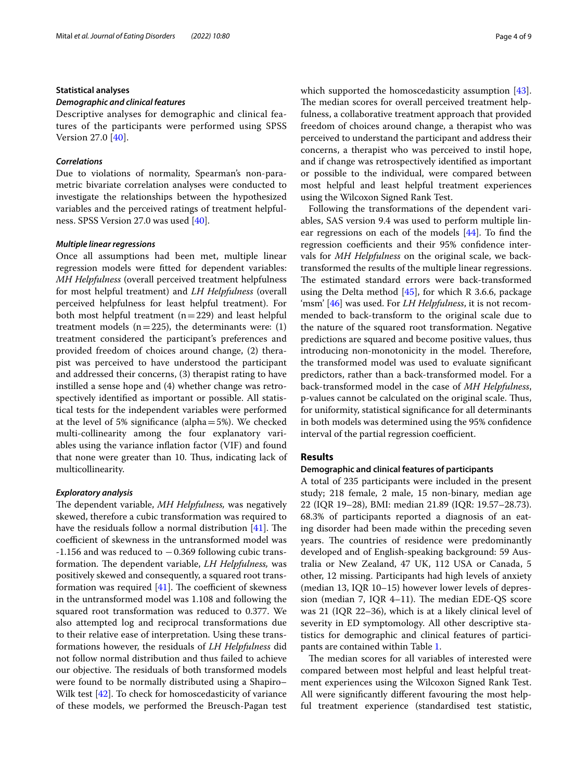## **Statistical analyses**

# *Demographic and clinical features*

Descriptive analyses for demographic and clinical features of the participants were performed using SPSS Version 27.0 [[40\]](#page-8-29).

# *Correlations*

Due to violations of normality, Spearman's non-parametric bivariate correlation analyses were conducted to investigate the relationships between the hypothesized variables and the perceived ratings of treatment helpfulness. SPSS Version 27.0 was used [\[40](#page-8-29)].

# *Multiple linear regressions*

Once all assumptions had been met, multiple linear regression models were ftted for dependent variables: *MH Helpfulness* (overall perceived treatment helpfulness for most helpful treatment) and *LH Helpfulness* (overall perceived helpfulness for least helpful treatment). For both most helpful treatment  $(n=229)$  and least helpful treatment models ( $n=225$ ), the determinants were: (1) treatment considered the participant's preferences and provided freedom of choices around change, (2) therapist was perceived to have understood the participant and addressed their concerns, (3) therapist rating to have instilled a sense hope and (4) whether change was retrospectively identifed as important or possible. All statistical tests for the independent variables were performed at the level of 5% signifcance (alpha=5%). We checked multi-collinearity among the four explanatory variables using the variance infation factor (VIF) and found that none were greater than 10. Thus, indicating lack of multicollinearity.

## *Exploratory analysis*

The dependent variable, MH Helpfulness, was negatively skewed, therefore a cubic transformation was required to have the residuals follow a normal distribution  $[41]$  $[41]$ . The coefficient of skewness in the untransformed model was  $-1.156$  and was reduced to  $-0.369$  following cubic transformation. The dependent variable, LH Helpfulness, was positively skewed and consequently, a squared root transformation was required  $[41]$  $[41]$ . The coefficient of skewness in the untransformed model was 1.108 and following the squared root transformation was reduced to 0.377. We also attempted log and reciprocal transformations due to their relative ease of interpretation. Using these transformations however, the residuals of *LH Helpfulness* did not follow normal distribution and thus failed to achieve our objective. The residuals of both transformed models were found to be normally distributed using a Shapiro– Wilk test [[42](#page-8-31)]. To check for homoscedasticity of variance of these models, we performed the Breusch-Pagan test which supported the homoscedasticity assumption [\[43](#page-8-32)]. The median scores for overall perceived treatment helpfulness, a collaborative treatment approach that provided freedom of choices around change, a therapist who was perceived to understand the participant and address their concerns, a therapist who was perceived to instil hope, and if change was retrospectively identifed as important or possible to the individual, were compared between most helpful and least helpful treatment experiences using the Wilcoxon Signed Rank Test.

Following the transformations of the dependent variables, SAS version 9.4 was used to perform multiple linear regressions on each of the models [\[44](#page-8-33)]. To fnd the regression coefficients and their 95% confidence intervals for *MH Helpfulness* on the original scale, we backtransformed the results of the multiple linear regressions. The estimated standard errors were back-transformed using the Delta method  $[45]$ , for which R 3.6.6, package 'msm' [\[46](#page-8-35)] was used. For *LH Helpfulness*, it is not recommended to back-transform to the original scale due to the nature of the squared root transformation. Negative predictions are squared and become positive values, thus introducing non-monotonicity in the model. Therefore, the transformed model was used to evaluate signifcant predictors, rather than a back-transformed model. For a back-transformed model in the case of *MH Helpfulness*, p-values cannot be calculated on the original scale. Thus, for uniformity, statistical signifcance for all determinants in both models was determined using the 95% confdence interval of the partial regression coefficient.

# **Results**

# **Demographic and clinical features of participants**

A total of 235 participants were included in the present study; 218 female, 2 male, 15 non-binary, median age 22 (IQR 19–28), BMI: median 21.89 (IQR: 19.57–28.73). 68.3% of participants reported a diagnosis of an eating disorder had been made within the preceding seven years. The countries of residence were predominantly developed and of English-speaking background: 59 Australia or New Zealand, 47 UK, 112 USA or Canada, 5 other, 12 missing. Participants had high levels of anxiety (median 13, IQR 10–15) however lower levels of depression (median 7, IQR 4–11). The median EDE-QS score was 21 (IQR 22–36), which is at a likely clinical level of severity in ED symptomology. All other descriptive statistics for demographic and clinical features of participants are contained within Table [1](#page-4-0).

The median scores for all variables of interested were compared between most helpful and least helpful treatment experiences using the Wilcoxon Signed Rank Test. All were signifcantly diferent favouring the most helpful treatment experience (standardised test statistic,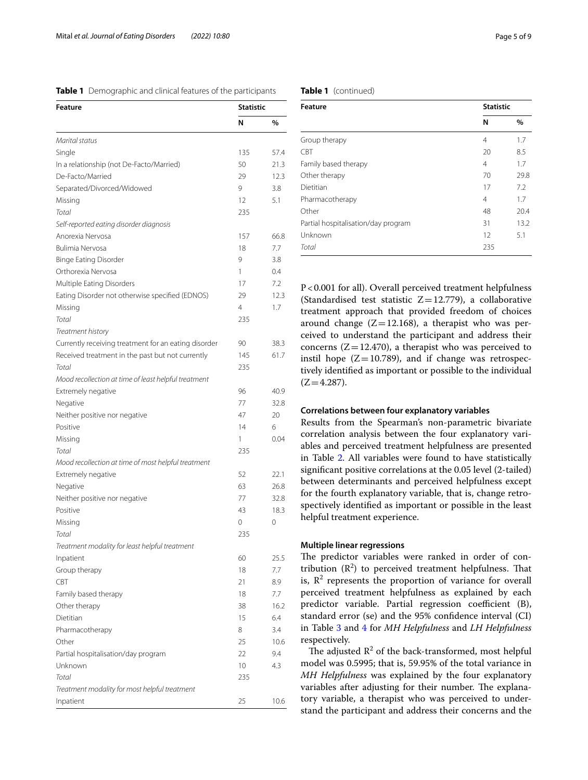<span id="page-4-0"></span>

|  |  |  | Table 1 Demographic and clinical features of the participants |
|--|--|--|---------------------------------------------------------------|
|--|--|--|---------------------------------------------------------------|

| <b>Feature</b>                                       |                | <b>Statistic</b> |  |
|------------------------------------------------------|----------------|------------------|--|
|                                                      | N              | %                |  |
| Marital status                                       |                |                  |  |
| Single                                               | 135            | 57.4             |  |
| In a relationship (not De-Facto/Married)             | 50             | 21.3             |  |
| De-Facto/Married                                     | 29             | 12.3             |  |
| Separated/Divorced/Widowed                           | 9              | 3.8              |  |
| Missing                                              | 12             | 5.1              |  |
| Total                                                | 235            |                  |  |
| Self-reported eating disorder diagnosis              |                |                  |  |
| Anorexia Nervosa                                     | 157            | 66.8             |  |
| Bulimia Nervosa                                      | 18             | 7.7              |  |
| <b>Binge Eating Disorder</b>                         | 9              | 3.8              |  |
| Orthorexia Nervosa                                   | 1              | 0.4              |  |
| Multiple Eating Disorders                            | 17             | 7.2              |  |
| Eating Disorder not otherwise specified (EDNOS)      | 29             | 12.3             |  |
| Missing                                              | $\overline{4}$ | 1.7              |  |
| Total                                                | 235            |                  |  |
| Treatment history                                    |                |                  |  |
| Currently receiving treatment for an eating disorder | 90             | 38.3             |  |
| Received treatment in the past but not currently     | 145            | 61.7             |  |
| Total                                                | 235            |                  |  |
| Mood recollection at time of least helpful treatment |                |                  |  |
| Extremely negative                                   | 96             | 40.9             |  |
| Negative                                             | 77             | 32.8             |  |
| Neither positive nor negative                        | 47             | 20               |  |
| Positive                                             | 14             | 6                |  |
| Missing                                              | 1              | 0.04             |  |
| Total                                                | 235            |                  |  |
| Mood recollection at time of most helpful treatment  |                |                  |  |
| Extremely negative                                   | 52             | 22.1             |  |
| Negative                                             | 63             | 26.8             |  |
| Neither positive nor negative                        | 77             | 32.8             |  |
| Positive                                             | 43             | 18.3             |  |
| Missing                                              | 0              | 0                |  |
| Total                                                | 235            |                  |  |
| Treatment modality for least helpful treatment       |                |                  |  |
| Inpatient                                            | 60             | 25.5             |  |
| Group therapy                                        | 18             | 7.7              |  |
| <b>CBT</b>                                           | 21             | 8.9              |  |
| Family based therapy                                 | 18             | 7.7              |  |
| Other therapy                                        | 38             | 16.2             |  |
| Dietitian                                            | 15             | 6.4              |  |
| Pharmacotherapy                                      | 8              | 3.4              |  |
| Other                                                | 25             | 10.6             |  |
| Partial hospitalisation/day program                  | 22             | 9.4              |  |
| Unknown                                              | 10             | 4.3              |  |
| Total                                                | 235            |                  |  |
| Treatment modality for most helpful treatment        |                |                  |  |
| Inpatient                                            | 25             | 10.6             |  |
|                                                      |                |                  |  |

# **Table 1** (continued)

| <b>Feature</b>                      | <b>Statistic</b> |      |
|-------------------------------------|------------------|------|
|                                     | N                | $\%$ |
| Group therapy                       | 4                | 1.7  |
| CBT                                 | 20               | 8.5  |
| Family based therapy                | 4                | 1.7  |
| Other therapy                       | 70               | 29.8 |
| Dietitian                           | 17               | 7.2  |
| Pharmacotherapy                     | 4                | 1.7  |
| Other                               | 48               | 20.4 |
| Partial hospitalisation/day program | 31               | 13.2 |
| Unknown                             | 12               | 5.1  |
| Total                               | 235              |      |

P<0.001 for all). Overall perceived treatment helpfulness (Standardised test statistic  $Z=12.779$ ), a collaborative treatment approach that provided freedom of choices around change  $(Z=12.168)$ , a therapist who was perceived to understand the participant and address their concerns  $(Z=12.470)$ , a therapist who was perceived to instil hope  $(Z=10.789)$ , and if change was retrospectively identifed as important or possible to the individual  $(Z=4.287)$ .

# **Correlations between four explanatory variables**

Results from the Spearman's non-parametric bivariate correlation analysis between the four explanatory variables and perceived treatment helpfulness are presented in Table [2](#page-5-0). All variables were found to have statistically signifcant positive correlations at the 0.05 level (2-tailed) between determinants and perceived helpfulness except for the fourth explanatory variable, that is, change retrospectively identifed as important or possible in the least helpful treatment experience.

# **Multiple linear regressions**

The predictor variables were ranked in order of contribution  $(R^2)$  to perceived treatment helpfulness. That is,  $\mathbb{R}^2$  represents the proportion of variance for overall perceived treatment helpfulness as explained by each predictor variable. Partial regression coefficient (B), standard error (se) and the 95% confdence interval (CI) in Table [3](#page-5-1) and [4](#page-5-2) for *MH Helpfulness* and *LH Helpfulness* respectively.

The adjusted  $\mathbb{R}^2$  of the back-transformed, most helpful model was 0.5995; that is, 59.95% of the total variance in *MH Helpfulness* was explained by the four explanatory variables after adjusting for their number. The explanatory variable, a therapist who was perceived to understand the participant and address their concerns and the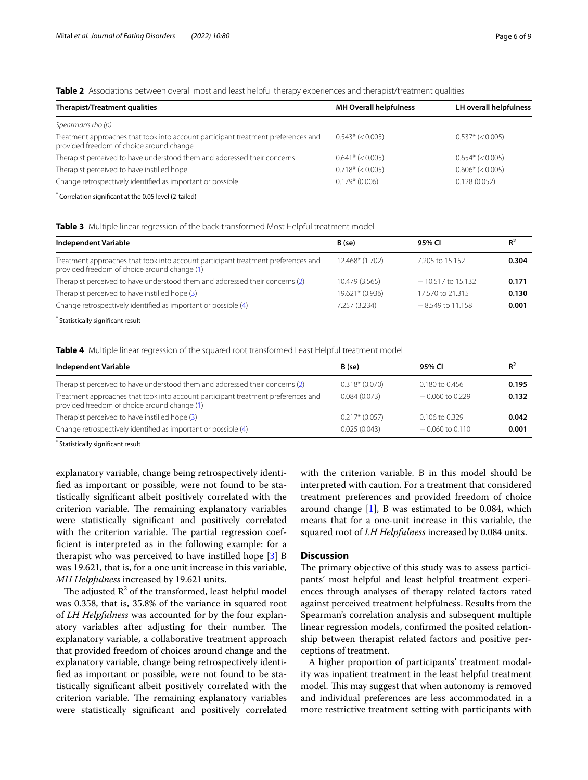<span id="page-5-0"></span>**Table 2** Associations between overall most and least helpful therapy experiences and therapist/treatment qualities

| Therapist/Treatment qualities                                                                                                 | <b>MH Overall helpfulness</b> | LH overall helpfulness |
|-------------------------------------------------------------------------------------------------------------------------------|-------------------------------|------------------------|
| Spearman's rho (p)                                                                                                            |                               |                        |
| Treatment approaches that took into account participant treatment preferences and<br>provided freedom of choice around change | $0.543* (< 0.005)$            | $0.537* (< 0.005)$     |
| Therapist perceived to have understood them and addressed their concerns                                                      | $0.641* (< 0.005)$            | $0.654*$ (< 0.005)     |
| Therapist perceived to have instilled hope                                                                                    | $0.718*(<0.005)$              | $0.606*$ (< 0.005)     |
| Change retrospectively identified as important or possible                                                                    | $0.179*$ (0.006)              | 0.128(0.052)           |
| Correlation significant at the 0.05 level (2-tailed)                                                                          |                               |                        |

Correlation signifcant at the 0.05 level (2-tailed)

<span id="page-5-1"></span>**Table 3** Multiple linear regression of the back-transformed Most Helpful treatment model

| Independent Variable                                                                                                              | B (se)          | 95% CI              | $R^2$ |
|-----------------------------------------------------------------------------------------------------------------------------------|-----------------|---------------------|-------|
| Treatment approaches that took into account participant treatment preferences and<br>provided freedom of choice around change (1) | 12.468* (1.702) | 7.205 to 15.152     | 0.304 |
| Therapist perceived to have understood them and addressed their concerns (2)                                                      | 10.479 (3.565)  | $-10.517$ to 15.132 | 0.171 |
| Therapist perceived to have instilled hope (3)                                                                                    | 19.621* (0.936) | 17.570 to 21.315    | 0.130 |
| Change retrospectively identified as important or possible (4)                                                                    | 7.257 (3.234)   | $-8.549$ to 11.158  | 0.001 |

\* Statistically signifcant result

<span id="page-5-2"></span>**Table 4** Multiple linear regression of the squared root transformed Least Helpful treatment model

| <b>Independent Variable</b>                                                                                                       | B (se)          | 95% CI            | $R^2$ |
|-----------------------------------------------------------------------------------------------------------------------------------|-----------------|-------------------|-------|
| Therapist perceived to have understood them and addressed their concerns (2)                                                      | $0.318*(0.070)$ | 0.180 to 0.456    | 0.195 |
| Treatment approaches that took into account participant treatment preferences and<br>provided freedom of choice around change (1) | 0.084(0.073)    | $-0.060$ to 0.229 | 0.132 |
| Therapist perceived to have instilled hope (3)                                                                                    | $0.217*(0.057)$ | $0.106$ to 0.329  | 0.042 |
| Change retrospectively identified as important or possible (4)                                                                    | 0.025(0.043)    | $-0.060$ to 0.110 | 0.001 |

\* Statistically signifcant result

explanatory variable, change being retrospectively identifed as important or possible, were not found to be statistically signifcant albeit positively correlated with the criterion variable. The remaining explanatory variables were statistically signifcant and positively correlated with the criterion variable. The partial regression coeffcient is interpreted as in the following example: for a therapist who was perceived to have instilled hope [\[3](#page-7-2)] B was 19.621, that is, for a one unit increase in this variable, *MH Helpfulness* increased by 19.621 units.

The adjusted  $\mathbb{R}^2$  of the transformed, least helpful model was 0.358, that is, 35.8% of the variance in squared root of *LH Helpfulness* was accounted for by the four explanatory variables after adjusting for their number. The explanatory variable, a collaborative treatment approach that provided freedom of choices around change and the explanatory variable, change being retrospectively identifed as important or possible, were not found to be statistically signifcant albeit positively correlated with the criterion variable. The remaining explanatory variables were statistically signifcant and positively correlated

with the criterion variable. B in this model should be interpreted with caution. For a treatment that considered treatment preferences and provided freedom of choice around change  $[1]$  $[1]$ , B was estimated to be 0.084, which means that for a one-unit increase in this variable, the squared root of *LH Helpfulness* increased by 0.084 units.

## **Discussion**

The primary objective of this study was to assess participants' most helpful and least helpful treatment experiences through analyses of therapy related factors rated against perceived treatment helpfulness. Results from the Spearman's correlation analysis and subsequent multiple linear regression models, confrmed the posited relationship between therapist related factors and positive perceptions of treatment.

A higher proportion of participants' treatment modality was inpatient treatment in the least helpful treatment model. This may suggest that when autonomy is removed and individual preferences are less accommodated in a more restrictive treatment setting with participants with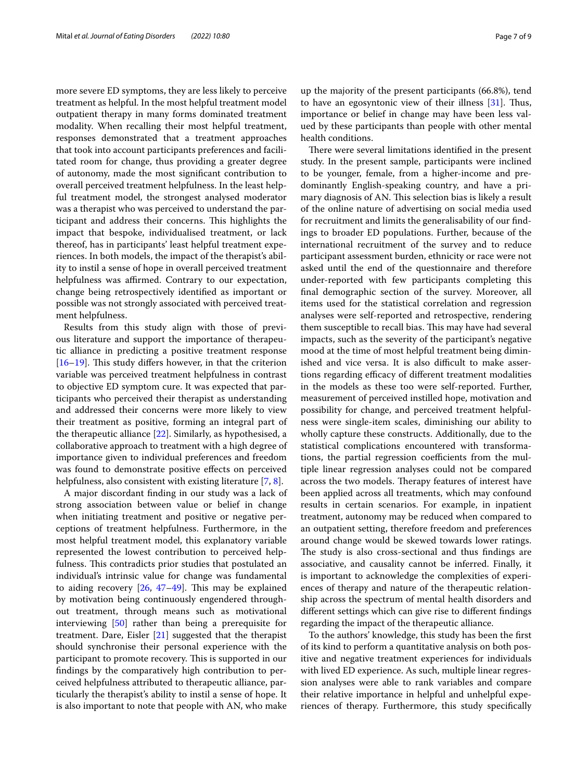more severe ED symptoms, they are less likely to perceive treatment as helpful. In the most helpful treatment model outpatient therapy in many forms dominated treatment modality. When recalling their most helpful treatment, responses demonstrated that a treatment approaches that took into account participants preferences and facilitated room for change, thus providing a greater degree of autonomy, made the most signifcant contribution to overall perceived treatment helpfulness. In the least helpful treatment model, the strongest analysed moderator was a therapist who was perceived to understand the participant and address their concerns. This highlights the impact that bespoke, individualised treatment, or lack thereof, has in participants' least helpful treatment experiences. In both models, the impact of the therapist's ability to instil a sense of hope in overall perceived treatment helpfulness was affirmed. Contrary to our expectation, change being retrospectively identifed as important or possible was not strongly associated with perceived treatment helpfulness.

Results from this study align with those of previous literature and support the importance of therapeutic alliance in predicting a positive treatment response  $[16–19]$  $[16–19]$  $[16–19]$  $[16–19]$ . This study differs however, in that the criterion variable was perceived treatment helpfulness in contrast to objective ED symptom cure. It was expected that participants who perceived their therapist as understanding and addressed their concerns were more likely to view their treatment as positive, forming an integral part of the therapeutic alliance [\[22](#page-8-13)]. Similarly, as hypothesised, a collaborative approach to treatment with a high degree of importance given to individual preferences and freedom was found to demonstrate positive effects on perceived helpfulness, also consistent with existing literature [\[7](#page-8-3), [8\]](#page-8-4).

A major discordant fnding in our study was a lack of strong association between value or belief in change when initiating treatment and positive or negative perceptions of treatment helpfulness. Furthermore, in the most helpful treatment model, this explanatory variable represented the lowest contribution to perceived helpfulness. This contradicts prior studies that postulated an individual's intrinsic value for change was fundamental to aiding recovery  $[26, 47-49]$  $[26, 47-49]$  $[26, 47-49]$  $[26, 47-49]$  $[26, 47-49]$ . This may be explained by motivation being continuously engendered throughout treatment, through means such as motivational interviewing [\[50](#page-8-39)] rather than being a prerequisite for treatment. Dare, Eisler [\[21\]](#page-8-40) suggested that the therapist should synchronise their personal experience with the participant to promote recovery. This is supported in our fndings by the comparatively high contribution to perceived helpfulness attributed to therapeutic alliance, particularly the therapist's ability to instil a sense of hope. It is also important to note that people with AN, who make

up the majority of the present participants (66.8%), tend to have an egosyntonic view of their illness  $[31]$  $[31]$ . Thus, importance or belief in change may have been less valued by these participants than people with other mental health conditions.

There were several limitations identified in the present study. In the present sample, participants were inclined to be younger, female, from a higher-income and predominantly English-speaking country, and have a primary diagnosis of AN. This selection bias is likely a result of the online nature of advertising on social media used for recruitment and limits the generalisability of our fndings to broader ED populations. Further, because of the international recruitment of the survey and to reduce participant assessment burden, ethnicity or race were not asked until the end of the questionnaire and therefore under-reported with few participants completing this fnal demographic section of the survey. Moreover, all items used for the statistical correlation and regression analyses were self-reported and retrospective, rendering them susceptible to recall bias. This may have had several impacts, such as the severity of the participant's negative mood at the time of most helpful treatment being diminished and vice versa. It is also difficult to make assertions regarding efficacy of different treatment modalities in the models as these too were self-reported. Further, measurement of perceived instilled hope, motivation and possibility for change, and perceived treatment helpfulness were single-item scales, diminishing our ability to wholly capture these constructs. Additionally, due to the statistical complications encountered with transformations, the partial regression coefficients from the multiple linear regression analyses could not be compared across the two models. Therapy features of interest have been applied across all treatments, which may confound results in certain scenarios. For example, in inpatient treatment, autonomy may be reduced when compared to an outpatient setting, therefore freedom and preferences around change would be skewed towards lower ratings. The study is also cross-sectional and thus findings are associative, and causality cannot be inferred. Finally, it is important to acknowledge the complexities of experiences of therapy and nature of the therapeutic relationship across the spectrum of mental health disorders and diferent settings which can give rise to diferent fndings regarding the impact of the therapeutic alliance.

To the authors' knowledge, this study has been the frst of its kind to perform a quantitative analysis on both positive and negative treatment experiences for individuals with lived ED experience. As such, multiple linear regression analyses were able to rank variables and compare their relative importance in helpful and unhelpful experiences of therapy. Furthermore, this study specifcally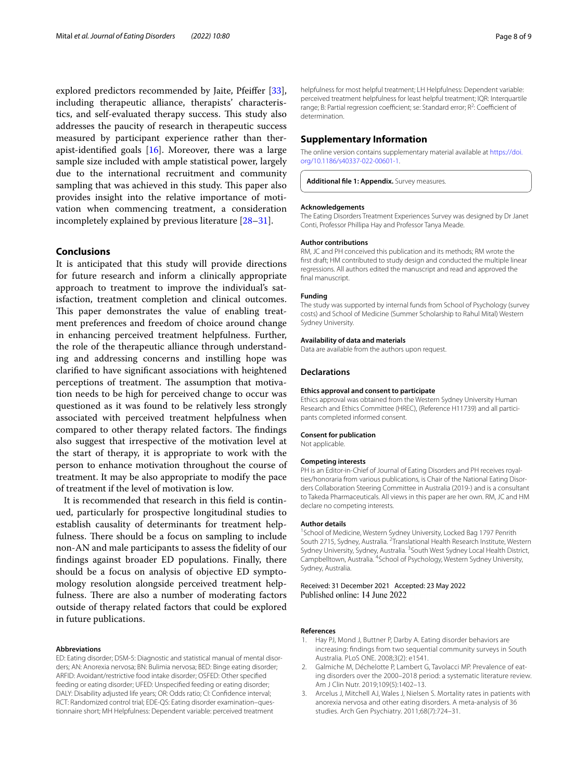explored predictors recommended by Jaite, Pfeifer [\[33](#page-8-22)], including therapeutic alliance, therapists' characteristics, and self-evaluated therapy success. This study also addresses the paucity of research in therapeutic success measured by participant experience rather than therapist-identifed goals [[16\]](#page-8-12). Moreover, there was a large sample size included with ample statistical power, largely due to the international recruitment and community sampling that was achieved in this study. This paper also provides insight into the relative importance of motivation when commencing treatment, a consideration incompletely explained by previous literature [[28–](#page-8-19)[31\]](#page-8-20).

# **Conclusions**

It is anticipated that this study will provide directions for future research and inform a clinically appropriate approach to treatment to improve the individual's satisfaction, treatment completion and clinical outcomes. This paper demonstrates the value of enabling treatment preferences and freedom of choice around change in enhancing perceived treatment helpfulness. Further, the role of the therapeutic alliance through understanding and addressing concerns and instilling hope was clarifed to have signifcant associations with heightened perceptions of treatment. The assumption that motivation needs to be high for perceived change to occur was questioned as it was found to be relatively less strongly associated with perceived treatment helpfulness when compared to other therapy related factors. The findings also suggest that irrespective of the motivation level at the start of therapy, it is appropriate to work with the person to enhance motivation throughout the course of treatment. It may be also appropriate to modify the pace of treatment if the level of motivation is low.

It is recommended that research in this feld is continued, particularly for prospective longitudinal studies to establish causality of determinants for treatment helpfulness. There should be a focus on sampling to include non-AN and male participants to assess the fdelity of our fndings against broader ED populations. Finally, there should be a focus on analysis of objective ED symptomology resolution alongside perceived treatment helpfulness. There are also a number of moderating factors outside of therapy related factors that could be explored in future publications.

#### **Abbreviations**

ED: Eating disorder; DSM-5: Diagnostic and statistical manual of mental disorders; AN: Anorexia nervosa; BN: Bulimia nervosa; BED: Binge eating disorder; ARFID: Avoidant/restrictive food intake disorder; OSFED: Other specifed feeding or eating disorder; UFED: Unspecifed feeding or eating disorder; DALY: Disability adjusted life years; OR: Odds ratio; CI: Confdence interval; RCT: Randomized control trial; EDE-QS: Eating disorder examination–questionnaire short; MH Helpfulness: Dependent variable: perceived treatment

helpfulness for most helpful treatment; LH Helpfulness: Dependent variable: perceived treatment helpfulness for least helpful treatment; IQR: Interquartile range; B: Partial regression coefficient; se: Standard error; R<sup>2</sup>: Coefficient of determination.

#### **Supplementary Information**

The online version contains supplementary material available at [https://doi.](https://doi.org/10.1186/s40337-022-00601-1) [org/10.1186/s40337-022-00601-1](https://doi.org/10.1186/s40337-022-00601-1).

<span id="page-7-3"></span>**Additional fle 1: Appendix.** Survey measures.

#### **Acknowledgements**

The Eating Disorders Treatment Experiences Survey was designed by Dr Janet Conti, Professor Phillipa Hay and Professor Tanya Meade.

#### **Author contributions**

RM, JC and PH conceived this publication and its methods; RM wrote the frst draft; HM contributed to study design and conducted the multiple linear regressions. All authors edited the manuscript and read and approved the final manuscript.

#### **Funding**

The study was supported by internal funds from School of Psychology (survey costs) and School of Medicine (Summer Scholarship to Rahul Mital) Western Sydney University.

#### **Availability of data and materials**

Data are available from the authors upon request.

#### **Declarations**

#### **Ethics approval and consent to participate**

Ethics approval was obtained from the Western Sydney University Human Research and Ethics Committee (HREC), (Reference H11739) and all participants completed informed consent.

#### **Consent for publication**

Not applicable.

#### **Competing interests**

PH is an Editor-in-Chief of Journal of Eating Disorders and PH receives royalties/honoraria from various publications, is Chair of the National Eating Disorders Collaboration Steering Committee in Australia (2019-) and is a consultant to Takeda Pharmaceuticals. All views in this paper are her own. RM, JC and HM declare no competing interests.

#### **Author details**

<sup>1</sup> School of Medicine, Western Sydney University, Locked Bag 1797 Penrith South 2715, Sydney, Australia. <sup>2</sup> Translational Health Research Institute, Western Sydney University, Sydney, Australia. <sup>3</sup> South West Sydney Local Health District, Campbelltown, Australia. <sup>4</sup>School of Psychology, Western Sydney University, Sydney, Australia.

Received: 31 December 2021 Accepted: 23 May 2022 Published online: 14 June 2022

#### **References**

- <span id="page-7-0"></span>1. Hay PJ, Mond J, Buttner P, Darby A. Eating disorder behaviors are increasing: fndings from two sequential community surveys in South Australia. PLoS ONE. 2008;3(2): e1541.
- <span id="page-7-1"></span>2. Galmiche M, Déchelotte P, Lambert G, Tavolacci MP. Prevalence of eating disorders over the 2000–2018 period: a systematic literature review. Am J Clin Nutr. 2019;109(5):1402–13.
- <span id="page-7-2"></span>3. Arcelus J, Mitchell AJ, Wales J, Nielsen S. Mortality rates in patients with anorexia nervosa and other eating disorders. A meta-analysis of 36 studies. Arch Gen Psychiatry. 2011;68(7):724–31.